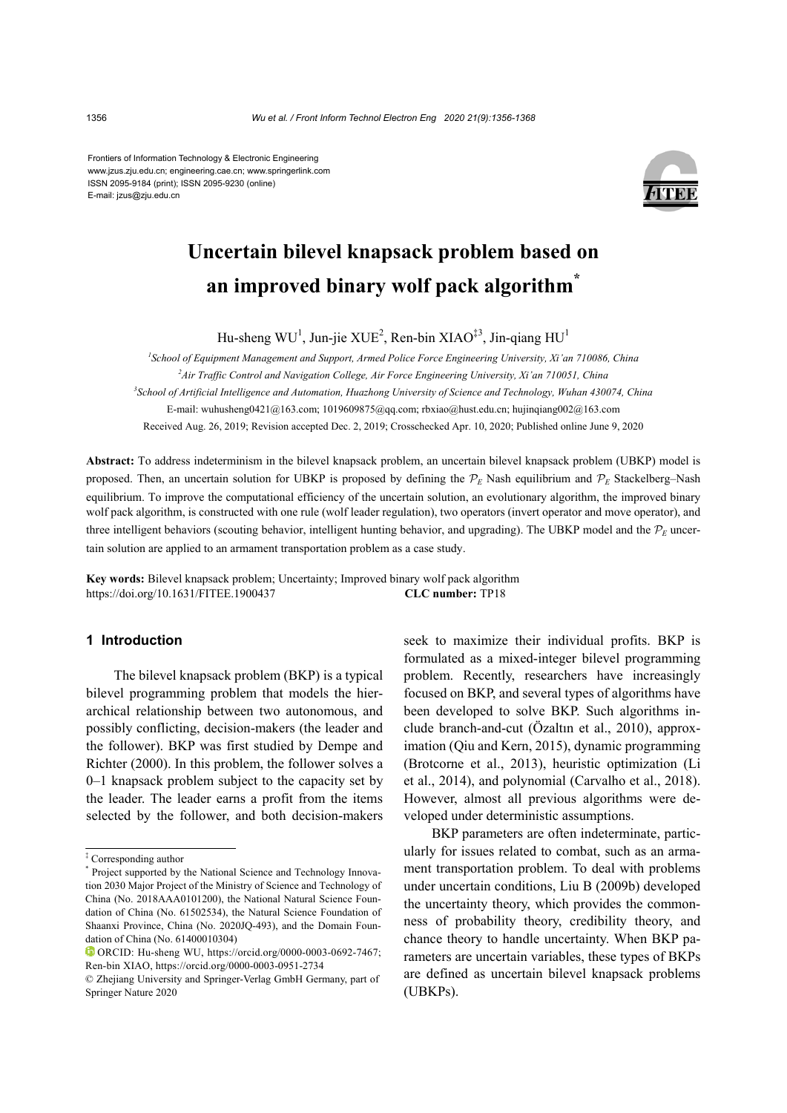Frontiers of Information Technology & Electronic Engineering www.jzus.zju.edu.cn; engineering.cae.cn; www.springerlink.com ISSN 2095-9184 (print); ISSN 2095-9230 (online) E-mail: jzus@zju.edu.cn



# **Uncertain bilevel knapsack problem based on an improved binary wolf pack algorithm\***

Hu-sheng WU<sup>1</sup>, Jun-jie XUE<sup>2</sup>, Ren-bin XIAO<sup>‡3</sup>, Jin-qiang HU<sup>1</sup>

*1 School of Equipment Management and Support, Armed Police Force Engineering University, Xi'an 710086, China 2 Air Traffic Control and Navigation College, Air Force Engineering University, Xi'an 710051, China 3 School of Artificial Intelligence and Automation, Huazhong University of Science and Technology, Wuhan 430074, China* E-mail: wuhusheng0421@163.com; 1019609875@qq.com; rbxiao@hust.edu.cn; hujinqiang002@163.com Received Aug. 26, 2019; Revision accepted Dec. 2, 2019; Crosschecked Apr. 10, 2020; Published online June 9, 2020

**Abstract:** To address indeterminism in the bilevel knapsack problem, an uncertain bilevel knapsack problem (UBKP) model is proposed. Then, an uncertain solution for UBKP is proposed by defining the  $P_E$  Nash equilibrium and  $P_E$  Stackelberg–Nash equilibrium. To improve the computational efficiency of the uncertain solution, an evolutionary algorithm, the improved binary wolf pack algorithm, is constructed with one rule (wolf leader regulation), two operators (invert operator and move operator), and three intelligent behaviors (scouting behavior, intelligent hunting behavior, and upgrading). The UBKP model and the  $\mathcal{P}_E$  uncertain solution are applied to an armament transportation problem as a case study.

**Key words:** Bilevel knapsack problem; Uncertainty; Improved binary wolf pack algorithm https://doi.org/10.1631/FITEE.1900437 **CLC number:** TP18

# **1 Introduction**

The bilevel knapsack problem (BKP) is a typical bilevel programming problem that models the hierarchical relationship between two autonomous, and possibly conflicting, decision-makers (the leader and the follower). BKP was first studied by Dempe and Richter (2000). In this problem, the follower solves a 0–1 knapsack problem subject to the capacity set by the leader. The leader earns a profit from the items selected by the follower, and both decision-makers

seek to maximize their individual profits. BKP is formulated as a mixed-integer bilevel programming problem. Recently, researchers have increasingly focused on BKP, and several types of algorithms have been developed to solve BKP. Such algorithms include branch-and-cut (Özaltın et al., 2010), approximation (Qiu and Kern, 2015), dynamic programming (Brotcorne et al., 2013), heuristic optimization (Li et al., 2014), and polynomial (Carvalho et al., 2018). However, almost all previous algorithms were developed under deterministic assumptions.

BKP parameters are often indeterminate, particularly for issues related to combat, such as an armament transportation problem. To deal with problems under uncertain conditions, Liu B (2009b) developed the uncertainty theory, which provides the commonness of probability theory, credibility theory, and chance theory to handle uncertainty. When BKP parameters are uncertain variables, these types of BKPs are defined as uncertain bilevel knapsack problems (UBKPs).

<sup>‡</sup> Corresponding author

<sup>\*</sup> Project supported by the National Science and Technology Innovation 2030 Major Project of the Ministry of Science and Technology of China (No. 2018AAA0101200), the National Natural Science Foundation of China (No. 61502534), the Natural Science Foundation of Shaanxi Province, China (No. 2020JQ-493), and the Domain Foundation of China (No. 61400010304)

ORCID: Hu-sheng WU, https://orcid.org/0000-0003-0692-7467; Ren-bin XIAO, https://orcid.org/0000-0003-0951-2734

<sup>©</sup> Zhejiang University and Springer-Verlag GmbH Germany, part of Springer Nature 2020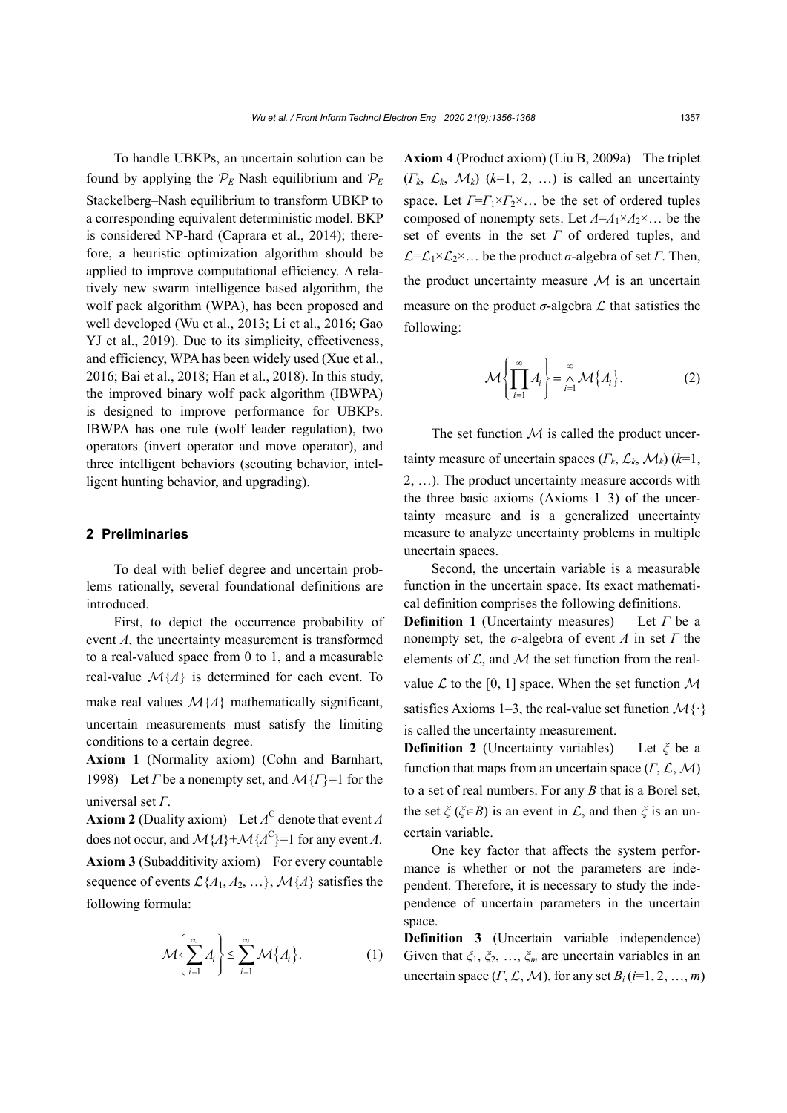To handle UBKPs, an uncertain solution can be found by applying the  $\mathcal{P}_E$  Nash equilibrium and  $\mathcal{P}_E$ Stackelberg–Nash equilibrium to transform UBKP to a corresponding equivalent deterministic model. BKP is considered NP-hard (Caprara et al., 2014); therefore, a heuristic optimization algorithm should be applied to improve computational efficiency. A relatively new swarm intelligence based algorithm, the wolf pack algorithm (WPA), has been proposed and well developed (Wu et al., 2013; Li et al., 2016; Gao YJ et al., 2019). Due to its simplicity, effectiveness, and efficiency, WPA has been widely used (Xue et al., 2016; Bai et al., 2018; Han et al., 2018). In this study, the improved binary wolf pack algorithm (IBWPA) is designed to improve performance for UBKPs. IBWPA has one rule (wolf leader regulation), two operators (invert operator and move operator), and three intelligent behaviors (scouting behavior, intelligent hunting behavior, and upgrading).

# **2 Preliminaries**

To deal with belief degree and uncertain problems rationally, several foundational definitions are introduced.

First, to depict the occurrence probability of event *Λ*, the uncertainty measurement is transformed to a real-valued space from 0 to 1, and a measurable real-value  ${\cal M}$ { $\Lambda$ } is determined for each event. To make real values  ${\mathcal{M}}\{A\}$  mathematically significant, uncertain measurements must satisfy the limiting conditions to a certain degree.

**Axiom 1** (Normality axiom) (Cohn and Barnhart, 1998) Let *Γ* be a nonempty set, and *M*{*Γ*}=1 for the universal set *Γ*.

**Axiom 2** (Duality axiom) Let *Λ*<sup>C</sup> denote that event *Λ* does not occur, and  $\mathcal{M}{A}$ + $\mathcal{M}{A}^C$ }=1 for any event *Λ*. Axiom 3 (Subadditivity axiom) For every countable sequence of events  $\mathcal{L}\{A_1, A_2, ...\}$ ,  $\mathcal{M}\{A\}$  satisfies the following formula:

$$
\mathcal{M}\left\{\sum_{i=1}^{\infty} A_i\right\} \le \sum_{i=1}^{\infty} \mathcal{M}\left\{A_i\right\}.
$$
 (1)

**Axiom 4** (Product axiom) (Liu B, 2009a) The triplet  $(F_k, \mathcal{L}_k, \mathcal{M}_k)$  ( $k=1, 2, ...$ ) is called an uncertainty space. Let  $\Gamma = \Gamma_1 \times \Gamma_2 \times ...$  be the set of ordered tuples composed of nonempty sets. Let *Λ*=*Λ*1×*Λ*2×… be the set of events in the set *Γ* of ordered tuples, and =1×2×… be the product *σ*-algebra of set *Γ*. Then, the product uncertainty measure  $M$  is an uncertain measure on the product  $\sigma$ -algebra  $\mathcal L$  that satisfies the following:

$$
\mathcal{M}\left\{\prod_{i=1}^{\infty}A_i\right\} = \bigwedge_{i=1}^{\infty}\mathcal{M}\left\{A_i\right\}.
$$
 (2)

The set function  $M$  is called the product uncertainty measure of uncertain spaces  $(\Gamma_k, \mathcal{L}_k, \mathcal{M}_k)$  ( $k=1$ , 2, …). The product uncertainty measure accords with the three basic axioms  $(Axioms 1-3)$  of the uncertainty measure and is a generalized uncertainty measure to analyze uncertainty problems in multiple uncertain spaces.

Second, the uncertain variable is a measurable function in the uncertain space. Its exact mathematical definition comprises the following definitions. **Definition 1** (Uncertainty measures) Let *Γ* be a nonempty set, the *σ*-algebra of event *Λ* in set *Γ* the elements of  $\mathcal{L}$ , and  $\mathcal{M}$  the set function from the realvalue  $\mathcal L$  to the [0, 1] space. When the set function  $\mathcal M$ satisfies Axioms 1–3, the real-value set function  $\mathcal{M}\{\cdot\}$ is called the uncertainty measurement.

**Definition 2** (Uncertainty variables) Let *ξ* be a function that maps from an uncertain space  $(\Gamma, \mathcal{L}, \mathcal{M})$ to a set of real numbers. For any *B* that is a Borel set, the set  $\zeta$  ( $\zeta \in B$ ) is an event in  $\mathcal{L}$ , and then  $\zeta$  is an uncertain variable.

One key factor that affects the system performance is whether or not the parameters are independent. Therefore, it is necessary to study the independence of uncertain parameters in the uncertain space.

**Definition 3** (Uncertain variable independence) Given that *ξ*1, *ξ*2, …, *ξm* are uncertain variables in an uncertain space  $(\Gamma, \mathcal{L}, \mathcal{M})$ , for any set  $B_i$  (*i*=1, 2, ..., *m*)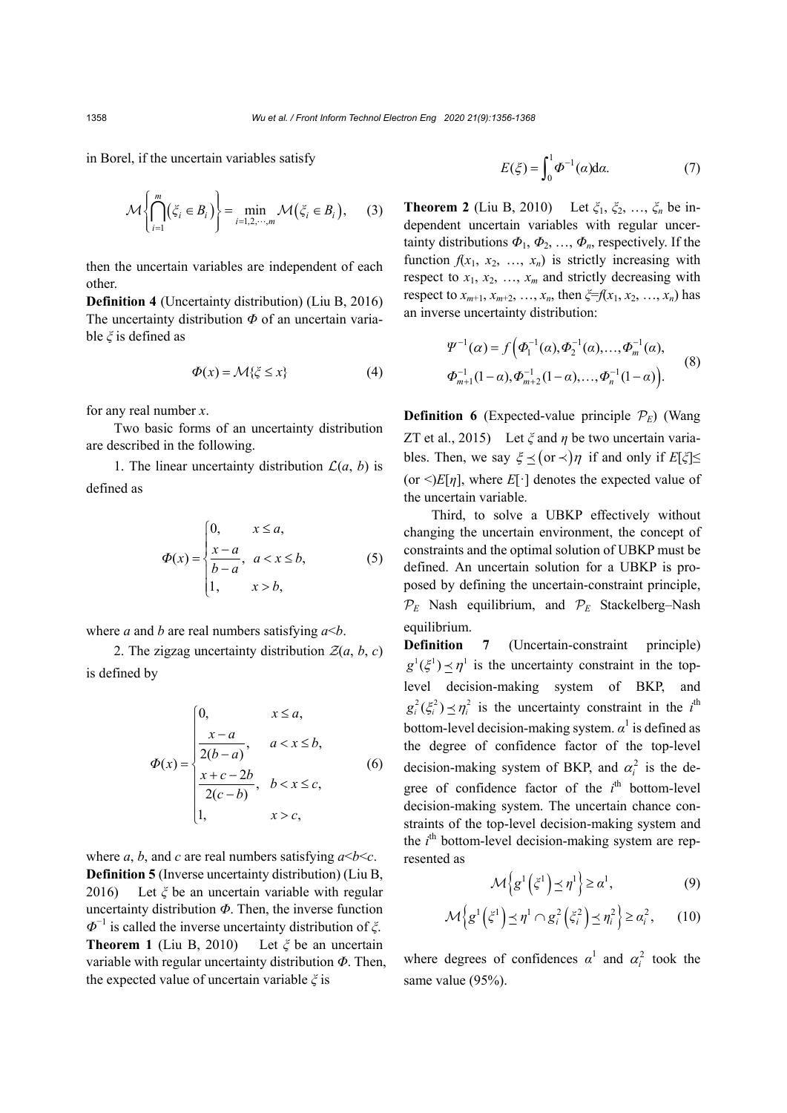in Borel, if the uncertain variables satisfy

$$
\mathcal{M}\left\{\bigcap_{i=1}^{m}(\zeta_{i} \in B_{i})\right\} = \min_{i=1,2,\cdots,m} \mathcal{M}\left(\zeta_{i} \in B_{i}\right),\qquad(3)
$$

then the uncertain variables are independent of each other.

**Definition 4** (Uncertainty distribution) (Liu B, 2016) The uncertainty distribution *Φ* of an uncertain variable *ξ* is defined as

$$
\Phi(x) = \mathcal{M}\{\xi \le x\} \tag{4}
$$

for any real number *x*.

Two basic forms of an uncertainty distribution are described in the following.

1. The linear uncertainty distribution  $\mathcal{L}(a, b)$  is defined as

$$
\Phi(x) = \begin{cases}\n0, & x \le a, \\
\frac{x-a}{b-a}, & a < x \le b, \\
1, & x > b,\n\end{cases}\n\tag{5}
$$

where *a* and *b* are real numbers satisfying *a*<*b*.

2. The zigzag uncertainty distribution  $\mathcal{Z}(a, b, c)$ is defined by

$$
\Phi(x) = \begin{cases}\n0, & x \le a, \\
\frac{x-a}{2(b-a)}, & a < x \le b, \\
\frac{x+c-2b}{2(c-b)}, & b < x \le c, \\
1, & x > c,\n\end{cases}
$$
\n(6)

where *a*, *b*, and *c* are real numbers satisfying  $a < b < c$ . **Definition 5** (Inverse uncertainty distribution) (Liu B, 2016) Let *ξ* be an uncertain variable with regular uncertainty distribution *Φ*. Then, the inverse function *Φ*−1 is called the inverse uncertainty distribution of *ξ*. **Theorem 1** (Liu B, 2010) Let *ξ* be an uncertain variable with regular uncertainty distribution *Φ*. Then, the expected value of uncertain variable *ξ* is

$$
E(\xi) = \int_0^1 \Phi^{-1}(\alpha) d\alpha.
$$
 (7)

**Theorem 2** (Liu B, 2010) Let *ξ*1, *ξ*2, …, *ξn* be independent uncertain variables with regular uncertainty distributions  $\Phi_1$ ,  $\Phi_2$ , ...,  $\Phi_n$ , respectively. If the function  $f(x_1, x_2, ..., x_n)$  is strictly increasing with respect to  $x_1, x_2, ..., x_m$  and strictly decreasing with respect to  $x_{m+1}, x_{m+2}, ..., x_n$ , then  $\xi = f(x_1, x_2, ..., x_n)$  has an inverse uncertainty distribution:

$$
\Psi^{-1}(\alpha) = f(\Phi_1^{-1}(\alpha), \Phi_2^{-1}(\alpha), ..., \Phi_m^{-1}(\alpha),
$$
  
\n
$$
\Phi_{m+1}^{-1}(1-\alpha), \Phi_{m+2}^{-1}(1-\alpha), ..., \Phi_n^{-1}(1-\alpha)).
$$
\n(8)

**Definition 6** (Expected-value principle  $P<sub>E</sub>$ ) (Wang ZT et al., 2015) Let *ξ* and *η* be two uncertain variables. Then, we say  $\xi \leq (or \prec) \eta$  if and only if  $E[\xi] \leq$ (or  $\leq$ )*E*[*η*], where *E*[·] denotes the expected value of the uncertain variable.

Third, to solve a UBKP effectively without changing the uncertain environment, the concept of constraints and the optimal solution of UBKP must be defined. An uncertain solution for a UBKP is proposed by defining the uncertain-constraint principle,  $P_E$  Nash equilibrium, and  $P_E$  Stackelberg–Nash equilibrium.

**Definition** 7 (Uncertain-constraint principle)  $g^1(\xi^1) \prec \eta^1$  is the uncertainty constraint in the toplevel decision-making system of BKP, and  $g_i^2(\xi_i^2) \leq \eta_i^2$  is the uncertainty constraint in the *i*<sup>th</sup> bottom-level decision-making system.  $\alpha^1$  is defined as the degree of confidence factor of the top-level decision-making system of BKP, and  $\alpha_i^2$  is the degree of confidence factor of the  $i^{\text{th}}$  bottom-level decision-making system. The uncertain chance constraints of the top-level decision-making system and the *i*<sup>th</sup> bottom-level decision-making system are represented as

$$
\mathcal{M}\left\{g^{1}\left(\zeta^{1}\right)\leq\eta^{1}\right\}\geq\alpha^{1},\tag{9}
$$

$$
\mathcal{M}\left\{g^1\left(\xi^1\right)\leq \eta^1\cap g_i^2\left(\xi_i^2\right)\leq \eta_i^2\right\}\geq \alpha_i^2,\qquad(10)
$$

where degrees of confidences  $\alpha^1$  and  $\alpha_i^2$  took the same value (95%).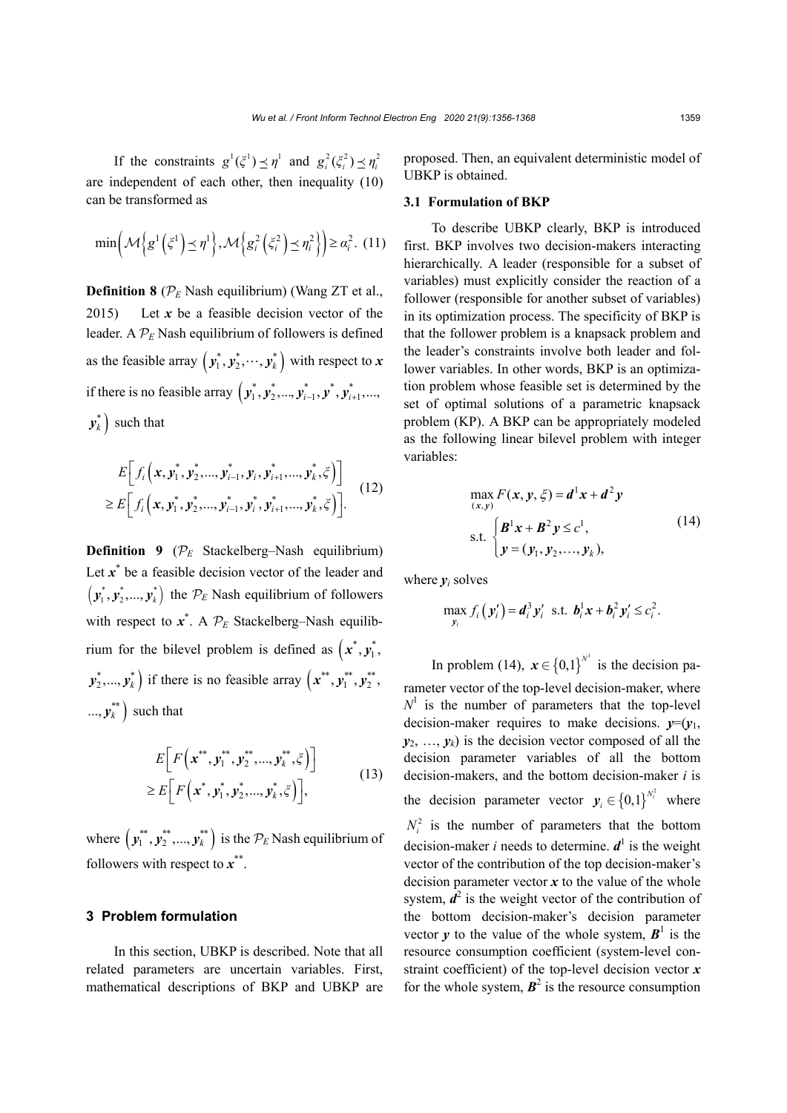If the constraints  $g^1(\xi^1) \le \eta^1$  and  $g_i^2(\xi_i^2) \le \eta_i^2$ are independent of each other, then inequality (10) can be transformed as

$$
\min\left(\mathcal{M}\left\{g^{1}\left(\xi^{1}\right)\leq\eta^{1}\right\},\mathcal{M}\left\{g_{i}^{2}\left(\xi_{i}^{2}\right)\leq\eta_{i}^{2}\right\}\right)\geq\alpha_{i}^{2}.\text{ (11)}
$$

**Definition 8** ( $P_E$  Nash equilibrium) (Wang ZT et al., 2015) Let  $x$  be a feasible decision vector of the leader. A  $P<sub>E</sub>$  Nash equilibrium of followers is defined as the feasible array  $\left( \bm{\mathit{y}}_1^*, \bm{\mathit{y}}_2^*, \cdots, \bm{\mathit{y}}_k^* \right)$  with respect to  $\bm{x}$ if there is no feasible array  $(y_1^*, y_2^*, ..., y_{i-1}^*, y^*, y_{i+1}^*, ...,$  $y_k^*$  such that

$$
E\bigg[f_i\Big(\mathbf{x}, \mathbf{y}_1^*, \mathbf{y}_2^*, ..., \mathbf{y}_{i-1}^*, \mathbf{y}_i, \mathbf{y}_{i+1}^*, ..., \mathbf{y}_k^*, \xi\Big)\bigg] \geq E\bigg[f_i\Big(\mathbf{x}, \mathbf{y}_1^*, \mathbf{y}_2^*, ..., \mathbf{y}_{i-1}^*, \mathbf{y}_i^*, \mathbf{y}_{i+1}^*, ..., \mathbf{y}_k^*, \xi\Big)\bigg].
$$
 (12)

**Definition 9** ( $\mathcal{P}_E$  Stackelberg–Nash equilibrium) Let x<sup>\*</sup> be a feasible decision vector of the leader and  $(v_1^*, v_2^*,..., v_k^*)$  the  $\mathcal{P}_E$  Nash equilibrium of followers with respect to  $x^*$ . A  $\mathcal{P}_E$  Stackelberg–Nash equilibrium for the bilevel problem is defined as  $(x^*, y_1^*,$  $\left( \mathbf{y}_2^*,...,\mathbf{y}_k^* \right)$  if there is no feasible array  $\left( \mathbf{x}^{**},\mathbf{y}_1^{**},\mathbf{y}_2^{**}, \mathbf{y}_3^{**} \right)$  $..., y_k^{**}$  such that

$$
E\bigg[F\bigg(\mathbf{x}^{**}, \mathbf{y}_1^{**}, \mathbf{y}_2^{**}, ..., \mathbf{y}_k^{**}, \xi\bigg)\bigg] \geq E\bigg[F\bigg(\mathbf{x}^*, \mathbf{y}_1^*, \mathbf{y}_2^*, ..., \mathbf{y}_k^*, \xi\bigg)\bigg],
$$
\n(13)

where  $(\mathbf{y}_1^{**}, \mathbf{y}_2^{**}, ..., \mathbf{y}_k^{**})$  is the  $\mathcal{P}_E$  Nash equilibrium of followers with respect to *x*\*\*.

# **3 Problem formulation**

In this section, UBKP is described. Note that all related parameters are uncertain variables. First, mathematical descriptions of BKP and UBKP are proposed. Then, an equivalent deterministic model of UBKP is obtained.

## **3.1 Formulation of BKP**

To describe UBKP clearly, BKP is introduced first. BKP involves two decision-makers interacting hierarchically. A leader (responsible for a subset of variables) must explicitly consider the reaction of a follower (responsible for another subset of variables) in its optimization process. The specificity of BKP is that the follower problem is a knapsack problem and the leader's constraints involve both leader and follower variables. In other words, BKP is an optimization problem whose feasible set is determined by the set of optimal solutions of a parametric knapsack problem (KP). A BKP can be appropriately modeled as the following linear bilevel problem with integer variables:

max<sub>(x,y)</sub> 
$$
F(x, y, \xi) = d^1 x + d^2 y
$$
  
s.t. 
$$
\begin{cases} \mathbf{B}^1 x + \mathbf{B}^2 y \le c^1, \\ y = (y_1, y_2, ..., y_k), \end{cases}
$$
 (14)

where  $y_i$  solves

$$
\max_{y_i} f_i(y'_i) = \mathbf{d}_i^3 \mathbf{y}'_i \text{ s.t. } \mathbf{b}_i^1 \mathbf{x} + \mathbf{b}_i^2 \mathbf{y}'_i \leq c_i^2.
$$

In problem (14),  $x \in \{0,1\}^{N^1}$  is the decision parameter vector of the top-level decision-maker, where  $N<sup>1</sup>$  is the number of parameters that the top-level decision-maker requires to make decisions.  $v=(v_1, v_2, \ldots, v_n)$  $y_2, \ldots, y_k$  is the decision vector composed of all the decision parameter variables of all the bottom decision-makers, and the bottom decision-maker *i* is the decision parameter vector  $y_i \in \{0,1\}^{N_i^2}$  where  $N_i^2$  is the number of parameters that the bottom decision-maker *i* needs to determine.  $d^1$  is the weight vector of the contribution of the top decision-maker's decision parameter vector  $x$  to the value of the whole system,  $\mathbf{d}^2$  is the weight vector of the contribution of the bottom decision-maker's decision parameter vector  $y$  to the value of the whole system,  $B^1$  is the resource consumption coefficient (system-level constraint coefficient) of the top-level decision vector *x* for the whole system,  $B^2$  is the resource consumption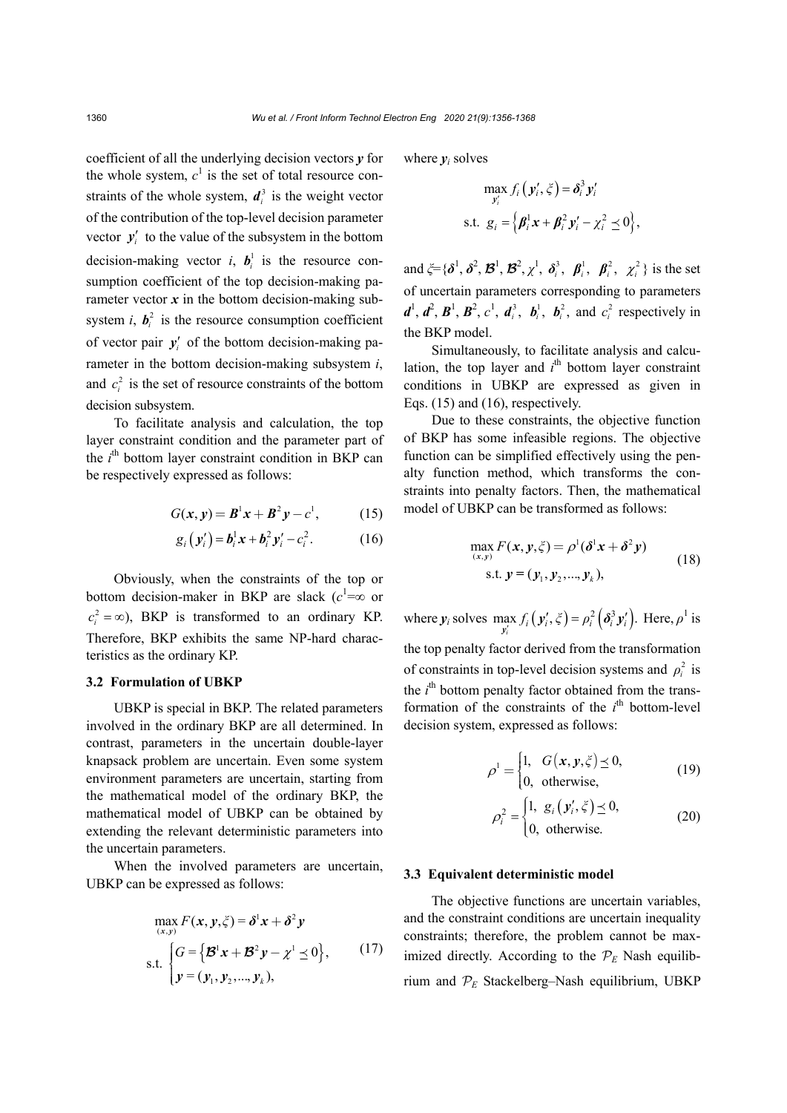coefficient of all the underlying decision vectors *y* for the whole system,  $c^1$  is the set of total resource constraints of the whole system,  $d_i^3$  is the weight vector of the contribution of the top-level decision parameter vector  $y_i'$  to the value of the subsystem in the bottom decision-making vector *i*,  $b_i^1$  is the resource consumption coefficient of the top decision-making parameter vector  $x$  in the bottom decision-making subsystem *i*,  $b_i^2$  is the resource consumption coefficient of vector pair  $y_i'$  of the bottom decision-making parameter in the bottom decision-making subsystem *i*, and  $c_i^2$  is the set of resource constraints of the bottom decision subsystem.

To facilitate analysis and calculation, the top layer constraint condition and the parameter part of the *i*<sup>th</sup> bottom layer constraint condition in BKP can be respectively expressed as follows:

$$
G(x, y) = B^{1}x + B^{2}y - c^{1},
$$
 (15)

$$
g_i(y'_i) = \mathbf{b}_i^1 \mathbf{x} + \mathbf{b}_i^2 y'_i - c_i^2. \tag{16}
$$

Obviously, when the constraints of the top or bottom decision-maker in BKP are slack  $(c<sup>1</sup>=\infty$  or  $c_i^2 = \infty$ ), BKP is transformed to an ordinary KP. Therefore, BKP exhibits the same NP-hard characteristics as the ordinary KP.

#### **3.2 Formulation of UBKP**

UBKP is special in BKP. The related parameters involved in the ordinary BKP are all determined. In contrast, parameters in the uncertain double-layer knapsack problem are uncertain. Even some system environment parameters are uncertain, starting from the mathematical model of the ordinary BKP, the mathematical model of UBKP can be obtained by extending the relevant deterministic parameters into the uncertain parameters.

When the involved parameters are uncertain, UBKP can be expressed as follows:

$$
\max_{(x,y)} F(x, y, \zeta) = \delta^1 x + \delta^2 y
$$
  
s.t. 
$$
\begin{cases} G = \{ \mathcal{B}^1 x + \mathcal{B}^2 y - \chi^1 \le 0 \}, \\ y = (y_1, y_2, ..., y_k), \end{cases}
$$
 (17)

where  $y_i$  solves

$$
\max_{\mathbf{y}'_i} f_i(\mathbf{y}'_i, \xi) = \delta_i^3 \mathbf{y}'_i
$$
  
s.t.  $g_i = \left\{ \boldsymbol{\beta}_i^1 \mathbf{x} + \boldsymbol{\beta}_i^2 \mathbf{y}'_i - \chi_i^2 \le 0 \right\},\$ 

and  $\xi = {\delta^1, \delta^2, \mathcal{B}^1, \mathcal{B}^2, \chi^1, \delta_i^3, \beta_i^1, \beta_i^2, \chi^2}$  is the set of uncertain parameters corresponding to parameters  $d^1$ ,  $d^2$ ,  $B^1$ ,  $B^2$ ,  $c^1$ ,  $d_i^3$ ,  $b_i^1$ ,  $b_i^2$ , and  $c_i^2$  respectively in the BKP model.

Simultaneously, to facilitate analysis and calculation, the top layer and  $i<sup>th</sup>$  bottom layer constraint conditions in UBKP are expressed as given in Eqs. (15) and (16), respectively.

Due to these constraints, the objective function of BKP has some infeasible regions. The objective function can be simplified effectively using the penalty function method, which transforms the constraints into penalty factors. Then, the mathematical model of UBKP can be transformed as follows:

$$
\max_{(x,y)} F(x, y, \xi) = \rho^{1} (\delta^{1} x + \delta^{2} y)
$$
  
s.t.  $y = (y_{1}, y_{2},..., y_{k}),$  (18)

where  $y_i$  solves  $\max_{y'_i} f_i(y'_i, \xi) = \rho_i^2(\delta_i^3 y'_i)$ . Here,  $\rho^1$  is

the top penalty factor derived from the transformation of constraints in top-level decision systems and  $\rho_i^2$  is the *i*<sup>th</sup> bottom penalty factor obtained from the transformation of the constraints of the  $i<sup>th</sup>$  bottom-level decision system, expressed as follows:

$$
\rho^1 = \begin{cases} 1, & G(x, y, \xi) \preceq 0, \\ 0, & \text{otherwise,} \end{cases}
$$
 (19)

$$
\rho_i^2 = \begin{cases} 1, & g_i(y_i', \xi) \le 0, \\ 0, & \text{otherwise.} \end{cases}
$$
 (20)

# **3.3 Equivalent deterministic model**

The objective functions are uncertain variables, and the constraint conditions are uncertain inequality constraints; therefore, the problem cannot be maximized directly. According to the  $\mathcal{P}_E$  Nash equilibrium and  $P_E$  Stackelberg-Nash equilibrium, UBKP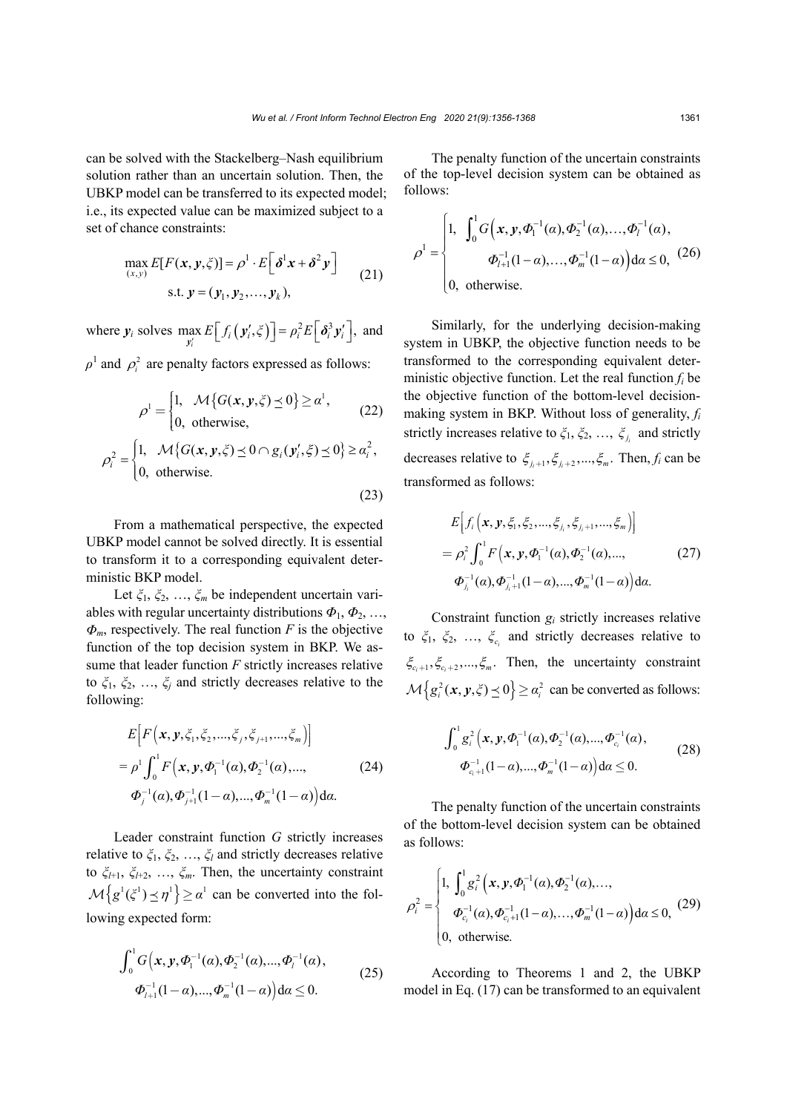(23)

can be solved with the Stackelberg–Nash equilibrium solution rather than an uncertain solution. Then, the UBKP model can be transferred to its expected model; i.e., its expected value can be maximized subject to a set of chance constraints:

$$
\max_{(x,y)} E[F(x, y, \xi)] = \rho^1 \cdot E\left[\delta^1 x + \delta^2 y\right]
$$
  
s.t.  $y = (y_1, y_2, ..., y_k),$  (21)

where  $y_i$  solves  $\max_{y'_i} E[f_i(y'_i, \xi)] = \rho_i^2 E\left[\delta_i^3 y'_i\right]$ , and  $\rho^1$  and  $\rho_i^2$  are penalty factors expressed as follows:

$$
\rho^1 = \begin{cases} 1, & \mathcal{M}\{G(x, y, \zeta) \le 0\} \ge \alpha^1, \\ 0, & \text{otherwise,} \end{cases}
$$
 (22)

$$
\rho_i^2 = \begin{cases} 1, & \mathcal{M}\{G(\mathbf{x}, \mathbf{y}, \xi) \le 0 \cap g_i(\mathbf{y}_i', \xi) \le 0\} \ge \alpha_i^2, \\ 0, & \text{otherwise.} \end{cases}
$$

From a mathematical perspective, the expected UBKP model cannot be solved directly. It is essential to transform it to a corresponding equivalent deterministic BKP model.

Let *ξ*1, *ξ*2, …, *ξm* be independent uncertain variables with regular uncertainty distributions  $\Phi_1$ ,  $\Phi_2$ , ...,  $\Phi_m$ , respectively. The real function *F* is the objective function of the top decision system in BKP. We assume that leader function *F* strictly increases relative to  $\xi_1, \xi_2, \ldots, \xi_j$  and strictly decreases relative to the following:

$$
E\Big[F\Big(\mathbf{x}, \mathbf{y}, \xi_1, \xi_2, \dots, \xi_j, \xi_{j+1}, \dots, \xi_m\Big)\Big]
$$
  
=  $\rho^1 \int_0^1 F\Big(\mathbf{x}, \mathbf{y}, \Phi_1^{-1}(\alpha), \Phi_2^{-1}(\alpha), \dots, \Phi_m^{-1}(\alpha)\Big) d\alpha.$  (24)  
 $\Phi_j^{-1}(\alpha), \Phi_{j+1}^{-1}(1-\alpha), \dots, \Phi_m^{-1}(1-\alpha)\Big) d\alpha.$ 

Leader constraint function *G* strictly increases relative to *ξ*1, *ξ*2, …, *ξl* and strictly decreases relative to *ξl*+1, *ξl*+2, …, *ξm*. Then, the uncertainty constraint  ${\mathcal{M}}\big\{g^{1}(\xi^{1})\leq \eta^{1}\big\}\geq \alpha^{1}$  can be converted into the following expected form:

$$
\int_0^1 G(x, y, \Phi_1^{-1}(\alpha), \Phi_2^{-1}(\alpha), ..., \Phi_l^{-1}(\alpha),
$$
  
\n
$$
\Phi_{l+1}^{-1}(1-\alpha), ..., \Phi_m^{-1}(1-\alpha)\Big) d\alpha \le 0.
$$
\n(25)

The penalty function of the uncertain constraints of the top-level decision system can be obtained as follows:

$$
\rho^{1} = \begin{cases} 1, & \int_{0}^{1} G(x, y, \Phi_{1}^{-1}(\alpha), \Phi_{2}^{-1}(\alpha), ..., \Phi_{l}^{-1}(\alpha), \\ & \Phi_{l+1}^{-1}(1-\alpha), ..., \Phi_{m}^{-1}(1-\alpha) \end{cases} d\alpha \le 0, (26)
$$
  
0, otherwise.

Similarly, for the underlying decision-making system in UBKP, the objective function needs to be transformed to the corresponding equivalent deterministic objective function. Let the real function *fi* be the objective function of the bottom-level decisionmaking system in BKP. Without loss of generality, *fi* strictly increases relative to  $\xi_1, \xi_2, \ldots, \xi_{j_i}$  and strictly decreases relative to  $\xi_{i+1}, \xi_{i+2}, ..., \xi_m$ . Then,  $f_i$  can be transformed as follows:

$$
E\Big[f_i\Big(\mathbf{x}, \mathbf{y}, \xi_1, \xi_2, ..., \xi_j, \xi_{j_i+1}, ..., \xi_m\Big)\Big]
$$
  
=  $\rho_i^2 \int_0^1 F\Big(\mathbf{x}, \mathbf{y}, \Phi_1^{-1}(\alpha), \Phi_2^{-1}(\alpha), ..., \Phi_{j_i}^{-1}(\alpha), \Phi_{j_i+1}^{-1}(\alpha), \Phi_m^{-1}(1-\alpha)\Big) d\alpha.$  (27)

Constraint function *gi* strictly increases relative to  $\zeta_1$ ,  $\zeta_2$ , ...,  $\zeta_c$  and strictly decreases relative to  $\xi_{c,+1}, \xi_{c,+2}, ..., \xi_m$ . Then, the uncertainty constraint  ${\mathcal{M}}\big\{g_i^2(x,y,\xi)\leq 0\big\}\geq \alpha_i^2$  can be converted as follows:

$$
\int_0^1 g_i^2(x, y, \Phi_1^{-1}(\alpha), \Phi_2^{-1}(\alpha), ..., \Phi_{c_i}^{-1}(\alpha),
$$
  
\n
$$
\Phi_{c_i+1}^{-1}(1-\alpha), ..., \Phi_m^{-1}(1-\alpha)\Big) d\alpha \le 0.
$$
\n(28)

The penalty function of the uncertain constraints of the bottom-level decision system can be obtained as follows:

$$
\rho_i^2 = \begin{cases} 1, \int_0^1 g_i^2(x, y, \Phi_1^{-1}(\alpha), \Phi_2^{-1}(\alpha), ..., \\ \Phi_{c_i}^{-1}(\alpha), \Phi_{c_i+1}^{-1}(1-\alpha), ..., \Phi_m^{-1}(1-\alpha) \end{cases} d\alpha \le 0, (29)
$$
  
0, otherwise.

According to Theorems 1 and 2, the UBKP model in Eq. (17) can be transformed to an equivalent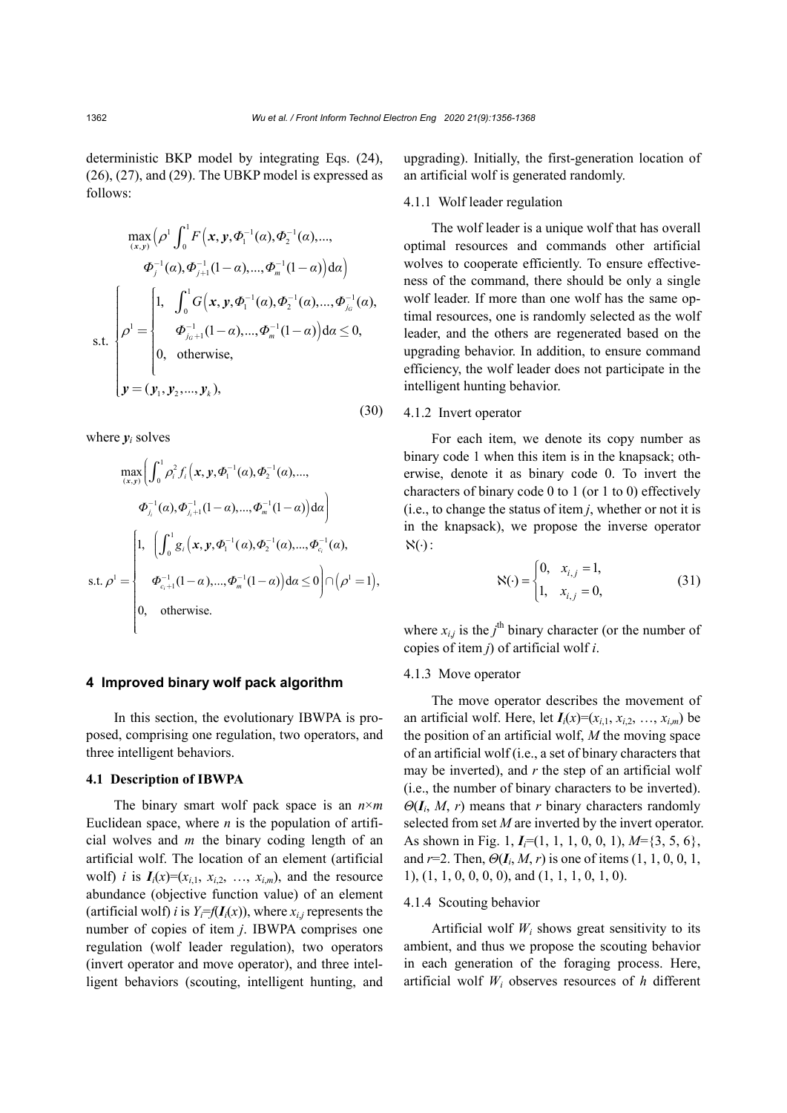deterministic BKP model by integrating Eqs. (24), (26), (27), and (29). The UBKP model is expressed as follows:

$$
\max_{(x,y)} \left( \rho^{1} \int_{0}^{1} F(x, y, \Phi_{1}^{-1}(a), \Phi_{2}^{-1}(a), ..., \n\Phi_{j}^{-1}(a), \Phi_{j+1}^{-1}(1-a), ..., \Phi_{m}^{-1}(1-a)) da \right)
$$
\n
$$
s.t. \begin{cases}\n\rho^{1} = \begin{cases}\n1, & \int_{0}^{1} G(x, y, \Phi_{1}^{-1}(a), \Phi_{2}^{-1}(a), ..., \Phi_{j_{0}}^{-1}(a), \\
\Phi_{j_{0}+1}^{-1}(1-a), ..., \Phi_{m}^{-1}(1-a)) da \leq 0, \\
0, & \text{otherwise},\n\end{cases}\n\mathbf{y} = (\mathbf{y}_{1}, \mathbf{y}_{2}, ..., \mathbf{y}_{k}),\n\end{cases}
$$
\n(30)

where  $y_i$  solves

$$
\max_{(x,y)} \left( \int_0^1 \rho_i^2 f_i(x, y, \Phi_1^{-1}(a), \Phi_2^{-1}(a), ..., \n\Phi_{j_i}^{-1}(a), \Phi_{j_i+1}^{-1}(1-a), ..., \Phi_m^{-1}(1-a)) \, \mathrm{d}a \right)
$$
\n
$$
\text{s.t. } \rho^1 = \begin{cases} 1, & \left( \int_0^1 g_i(x, y, \Phi_1^{-1}(a), \Phi_2^{-1}(a), ..., \Phi_{c_i}^{-1}(a), \right. \\ & \left. \Phi_{c_i+1}^{-1}(1-a), ..., \Phi_m^{-1}(1-a)\right) \, \mathrm{d}a \leq 0 \right) \cap \left( \rho^1 = 1 \right), \\ 0, & \text{otherwise.} \end{cases}
$$

# **4 Improved binary wolf pack algorithm**

In this section, the evolutionary IBWPA is proposed, comprising one regulation, two operators, and three intelligent behaviors.

# **4.1 Description of IBWPA**

The binary smart wolf pack space is an *n*×*m* Euclidean space, where *n* is the population of artificial wolves and *m* the binary coding length of an artificial wolf. The location of an element (artificial wolf) *i* is  $I_i(x)=(x_{i,1}, x_{i,2}, \ldots, x_{i,m})$ , and the resource abundance (objective function value) of an element (artificial wolf) *i* is  $Y_i = f(I_i(x))$ , where  $x_{i,i}$  represents the number of copies of item *j*. IBWPA comprises one regulation (wolf leader regulation), two operators (invert operator and move operator), and three intelligent behaviors (scouting, intelligent hunting, and

upgrading). Initially, the first-generation location of an artificial wolf is generated randomly.

# 4.1.1 Wolf leader regulation

The wolf leader is a unique wolf that has overall optimal resources and commands other artificial wolves to cooperate efficiently. To ensure effectiveness of the command, there should be only a single wolf leader. If more than one wolf has the same optimal resources, one is randomly selected as the wolf leader, and the others are regenerated based on the upgrading behavior. In addition, to ensure command efficiency, the wolf leader does not participate in the intelligent hunting behavior.

## 4.1.2 Invert operator

For each item, we denote its copy number as binary code 1 when this item is in the knapsack; otherwise, denote it as binary code 0. To invert the characters of binary code 0 to 1 (or 1 to 0) effectively (i.e., to change the status of item *j*, whether or not it is in the knapsack), we propose the inverse operator  $\aleph(\cdot)$ :

$$
\aleph(\cdot) = \begin{cases} 0, & x_{i,j} = 1, \\ 1, & x_{i,j} = 0, \end{cases}
$$
 (31)

where  $x_{i,j}$  is the  $j^{\text{th}}$  binary character (or the number of copies of item *j*) of artificial wolf *i*.

# 4.1.3 Move operator

The move operator describes the movement of an artificial wolf. Here, let  $I_i(x)=(x_{i,1}, x_{i,2}, \ldots, x_{i,m})$  be the position of an artificial wolf, *M* the moving space of an artificial wolf (i.e., a set of binary characters that may be inverted), and *r* the step of an artificial wolf (i.e., the number of binary characters to be inverted).  $\Theta(I_i, M, r)$  means that *r* binary characters randomly selected from set *M* are inverted by the invert operator. As shown in Fig. 1, *Ii*=(1, 1, 1, 0, 0, 1), *M*={3, 5, 6}, and  $r=2$ . Then,  $\Theta(I_i, M, r)$  is one of items  $(1, 1, 0, 0, 1,$ 1), (1, 1, 0, 0, 0, 0), and (1, 1, 1, 0, 1, 0).

# 4.1.4 Scouting behavior

Artificial wolf  $W_i$  shows great sensitivity to its ambient, and thus we propose the scouting behavior in each generation of the foraging process. Here, artificial wolf *Wi* observes resources of *h* different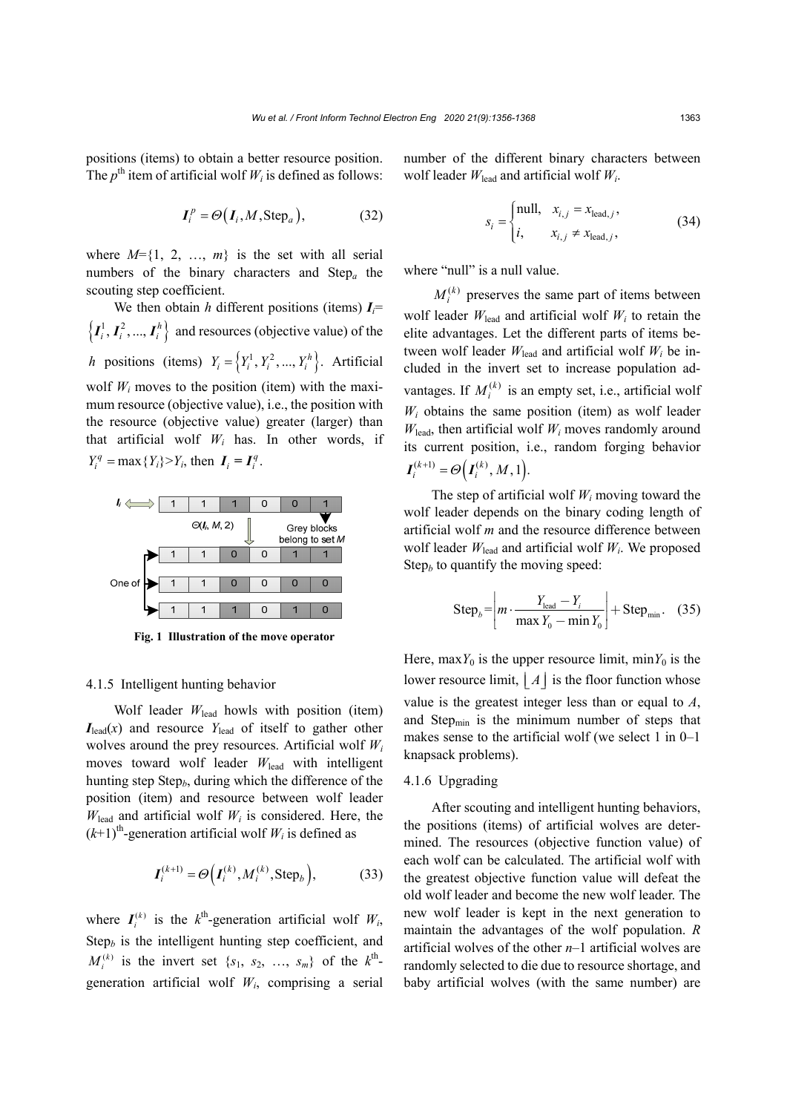positions (items) to obtain a better resource position. The  $p^{\text{th}}$  item of artificial wolf  $W_i$  is defined as follows:

$$
\boldsymbol{I}_i^p = \Theta(\boldsymbol{I}_i, M, \text{Step}_a),\tag{32}
$$

where  $M=\{1, 2, ..., m\}$  is the set with all serial numbers of the binary characters and Step*a* the scouting step coefficient.

We then obtain *h* different positions (items)  $I_i$ =  $\left\{I_i^1, I_i^2, ..., I_i^h\right\}$  and resources (objective value) of the *h* positions (items)  $Y_i = \left\{ Y_i^1, Y_i^2, ..., Y_i^h \right\}$ . Artificial wolf  $W_i$  moves to the position (item) with the maximum resource (objective value), i.e., the position with the resource (objective value) greater (larger) than that artificial wolf  $W_i$  has. In other words, if  $Y_i^q = \max\{Y_i\} > Y_i$ , then  $I_i = I_i^q$ .



**Fig. 1 Illustration of the move operator** 

#### 4.1.5 Intelligent hunting behavior

Wolf leader *W*lead howls with position (item)  $I_{\text{lead}}(x)$  and resource  $Y_{\text{lead}}$  of itself to gather other wolves around the prey resources. Artificial wolf *Wi* moves toward wolf leader  $W_{\text{lead}}$  with intelligent hunting step Step*b*, during which the difference of the position (item) and resource between wolf leader  $W_{\text{lead}}$  and artificial wolf  $W_i$  is considered. Here, the  $(k+1)$ <sup>th</sup>-generation artificial wolf  $W_i$  is defined as

$$
\boldsymbol{I}_i^{(k+1)} = \Theta\Big(\boldsymbol{I}_i^{(k)}, \boldsymbol{M}_i^{(k)}, \text{Step}_b\Big),\tag{33}
$$

where  $I_i^{(k)}$  is the  $k^{\text{th}}$ -generation artificial wolf  $W_i$ ,  $Step<sub>b</sub>$  is the intelligent hunting step coefficient, and  $M_i^{(k)}$  is the invert set  $\{s_1, s_2, ..., s_m\}$  of the  $k^{\text{th}}$ generation artificial wolf  $W_i$ , comprising a serial

number of the different binary characters between wolf leader *W*lead and artificial wolf *Wi*.

$$
s_i = \begin{cases} \text{null}, & x_{i,j} = x_{\text{lead},j}, \\ i, & x_{i,j} \neq x_{\text{lead},j}, \end{cases}
$$
 (34)

where "null" is a null value.

 $M_i^{(k)}$  preserves the same part of items between wolf leader  $W_{\text{lead}}$  and artificial wolf  $W_i$  to retain the elite advantages. Let the different parts of items between wolf leader  $W_{\text{lead}}$  and artificial wolf  $W_i$  be included in the invert set to increase population advantages. If  $M_i^{(k)}$  is an empty set, i.e., artificial wolf  $W_i$  obtains the same position (item) as wolf leader  $W_{lead}$ , then artificial wolf  $W_i$  moves randomly around its current position, i.e., random forging behavior  $I_i^{(k+1)} = \Theta(I_i^{(k)}, M, 1).$ 

The step of artificial wolf  $W_i$  moving toward the wolf leader depends on the binary coding length of artificial wolf *m* and the resource difference between wolf leader  $W_{\text{lead}}$  and artificial wolf  $W_i$ . We proposed Step<sub>b</sub> to quantify the moving speed:

Step<sub>b</sub> = 
$$
\left| m \cdot \frac{Y_{\text{lead}} - Y_i}{\max Y_0 - \min Y_0} \right| + \text{Step}_{\min}.
$$
 (35)

Here, max $Y_0$  is the upper resource limit, min $Y_0$  is the lower resource limit,  $|A|$  is the floor function whose value is the greatest integer less than or equal to *A*, and Step<sub>min</sub> is the minimum number of steps that makes sense to the artificial wolf (we select 1 in 0–1 knapsack problems).

# 4.1.6 Upgrading

After scouting and intelligent hunting behaviors, the positions (items) of artificial wolves are determined. The resources (objective function value) of each wolf can be calculated. The artificial wolf with the greatest objective function value will defeat the old wolf leader and become the new wolf leader. The new wolf leader is kept in the next generation to maintain the advantages of the wolf population. *R* artificial wolves of the other *n*–1 artificial wolves are randomly selected to die due to resource shortage, and baby artificial wolves (with the same number) are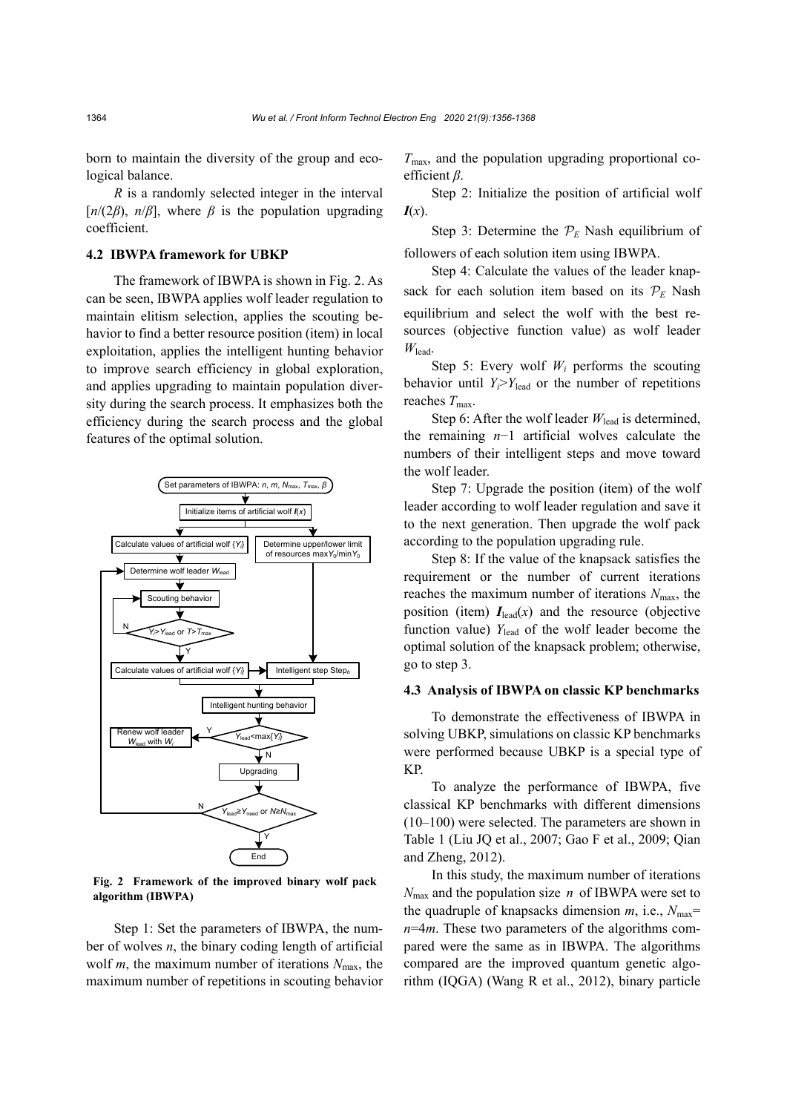born to maintain the diversity of the group and ecological balance.

*R* is a randomly selected integer in the interval  $[n/(2\beta), n/\beta]$ , where  $\beta$  is the population upgrading coefficient.

# **4.2 IBWPA framework for UBKP**

The framework of IBWPA is shown in Fig. 2. As can be seen, IBWPA applies wolf leader regulation to maintain elitism selection, applies the scouting behavior to find a better resource position (item) in local exploitation, applies the intelligent hunting behavior to improve search efficiency in global exploration, and applies upgrading to maintain population diversity during the search process. It emphasizes both the efficiency during the search process and the global features of the optimal solution.



**Fig. 2 Framework of the improved binary wolf pack algorithm (IBWPA)**

Step 1: Set the parameters of IBWPA, the number of wolves *n*, the binary coding length of artificial wolf *m*, the maximum number of iterations  $N_{\text{max}}$ , the maximum number of repetitions in scouting behavior  $T<sub>max</sub>$ , and the population upgrading proportional coefficient *β*.

Step 2: Initialize the position of artificial wolf *I*(*x*).

Step 3: Determine the  $P_E$  Nash equilibrium of followers of each solution item using IBWPA.

Step 4: Calculate the values of the leader knapsack for each solution item based on its  $P_E$  Nash equilibrium and select the wolf with the best resources (objective function value) as wolf leader *W*lead.

Step 5: Every wolf  $W_i$  performs the scouting behavior until  $Y_i > Y_{\text{lead}}$  or the number of repetitions reaches  $T_{\text{max}}$ .

Step 6: After the wolf leader  $W_{\text{lead}}$  is determined, the remaining *n*−1 artificial wolves calculate the numbers of their intelligent steps and move toward the wolf leader.

Step 7: Upgrade the position (item) of the wolf leader according to wolf leader regulation and save it to the next generation. Then upgrade the wolf pack according to the population upgrading rule.

Step 8: If the value of the knapsack satisfies the requirement or the number of current iterations reaches the maximum number of iterations  $N_{\text{max}}$ , the position (item)  $I_{lead}(x)$  and the resource (objective function value)  $Y_{\text{lead}}$  of the wolf leader become the optimal solution of the knapsack problem; otherwise, go to step 3.

#### **4.3 Analysis of IBWPA on classic KP benchmarks**

To demonstrate the effectiveness of IBWPA in solving UBKP, simulations on classic KP benchmarks were performed because UBKP is a special type of KP.

To analyze the performance of IBWPA, five classical KP benchmarks with different dimensions (10–100) were selected. The parameters are shown in Table 1 (Liu JQ et al., 2007; Gao F et al., 2009; Qian and Zheng, 2012).

In this study, the maximum number of iterations  $N_{\text{max}}$  and the population size *n* of IBWPA were set to the quadruple of knapsacks dimension  $m$ , i.e.,  $N_{\text{max}}=$ *n*=4*m*. These two parameters of the algorithms compared were the same as in IBWPA. The algorithms compared are the improved quantum genetic algorithm (IQGA) (Wang R et al., 2012), binary particle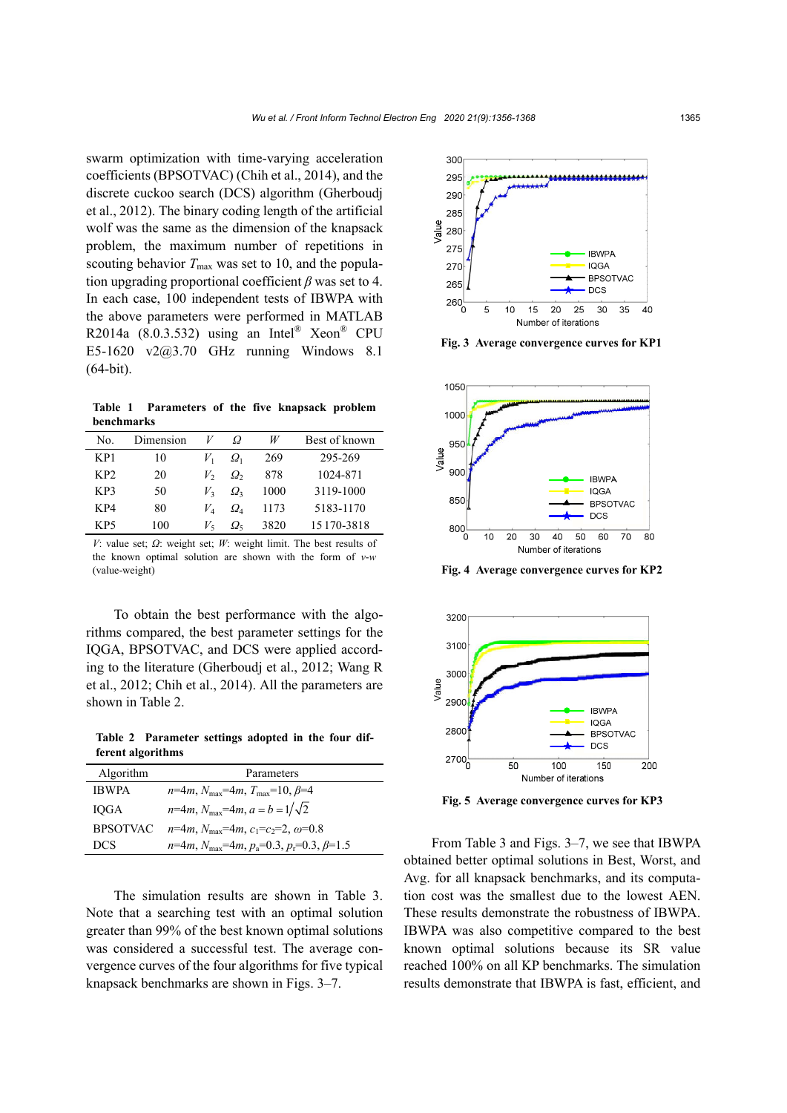swarm optimization with time-varying acceleration coefficients (BPSOTVAC) (Chih et al., 2014), and the discrete cuckoo search (DCS) algorithm (Gherboudj et al., 2012). The binary coding length of the artificial wolf was the same as the dimension of the knapsack problem, the maximum number of repetitions in scouting behavior  $T_{\text{max}}$  was set to 10, and the population upgrading proportional coefficient *β* was set to 4. In each case, 100 independent tests of IBWPA with the above parameters were performed in MATLAB R2014a  $(8.0.3.532)$  using an Intel<sup>®</sup> Xeon<sup>®</sup> CPU E5-1620 v2@3.70 GHz running Windows 8.1 (64-bit).

**Table 1 Parameters of the five knapsack problem benchmarks** 

| No.             | Dimension |                | Ω             | W    | Best of known |
|-----------------|-----------|----------------|---------------|------|---------------|
| KP1             | 10        | V,             | $\varOmega_1$ | 269  | 295-269       |
| KP <sub>2</sub> | 20        | V,             | $\Omega_{2}$  | 878  | 1024-871      |
| KP3             | 50        | V <sub>2</sub> | $\Omega_{3}$  | 1000 | 3119-1000     |
| KP4             | 80        | $V_A$          | $\Omega_{4}$  | 1173 | 5183-1170     |
| KP5             | 100       | V,             | $\Omega_{5}$  | 3820 | 15 170-3818   |

*V*: value set; *Ω*: weight set; *W*: weight limit. The best results of the known optimal solution are shown with the form of *v*-*w* (value-weight)

To obtain the best performance with the algorithms compared, the best parameter settings for the IQGA, BPSOTVAC, and DCS were applied according to the literature (Gherboudj et al., 2012; Wang R et al., 2012; Chih et al., 2014). All the parameters are shown in Table 2.

**Table 2 Parameter settings adopted in the four different algorithms** 

| Algorithm       | Parameters                                                         |
|-----------------|--------------------------------------------------------------------|
| <b>IBWPA</b>    | $n=4m$ , $N_{\text{max}}=4m$ , $T_{\text{max}}=10$ , $\beta=4$     |
| IOGA            | $n=4m$ , $N_{\text{max}}=4m$ , $a = b = 1/\sqrt{2}$                |
| <b>BPSOTVAC</b> | $n=4m$ , $N_{\text{max}}=4m$ , $c_1=c_2=2$ , $\omega=0.8$          |
| DCS.            | $n=4m$ , $N_{\text{max}}=4m$ , $p_a=0.3$ , $p_r=0.3$ , $\beta=1.5$ |

The simulation results are shown in Table 3. Note that a searching test with an optimal solution greater than 99% of the best known optimal solutions was considered a successful test. The average convergence curves of the four algorithms for five typical knapsack benchmarks are shown in Figs. 3–7.



**Fig. 3 Average convergence curves for KP1** 



**Fig. 4 Average convergence curves for KP2** 



**Fig. 5 Average convergence curves for KP3** 

From Table 3 and Figs. 3–7, we see that IBWPA obtained better optimal solutions in Best, Worst, and Avg. for all knapsack benchmarks, and its computation cost was the smallest due to the lowest AEN. These results demonstrate the robustness of IBWPA. IBWPA was also competitive compared to the best known optimal solutions because its SR value reached 100% on all KP benchmarks. The simulation results demonstrate that IBWPA is fast, efficient, and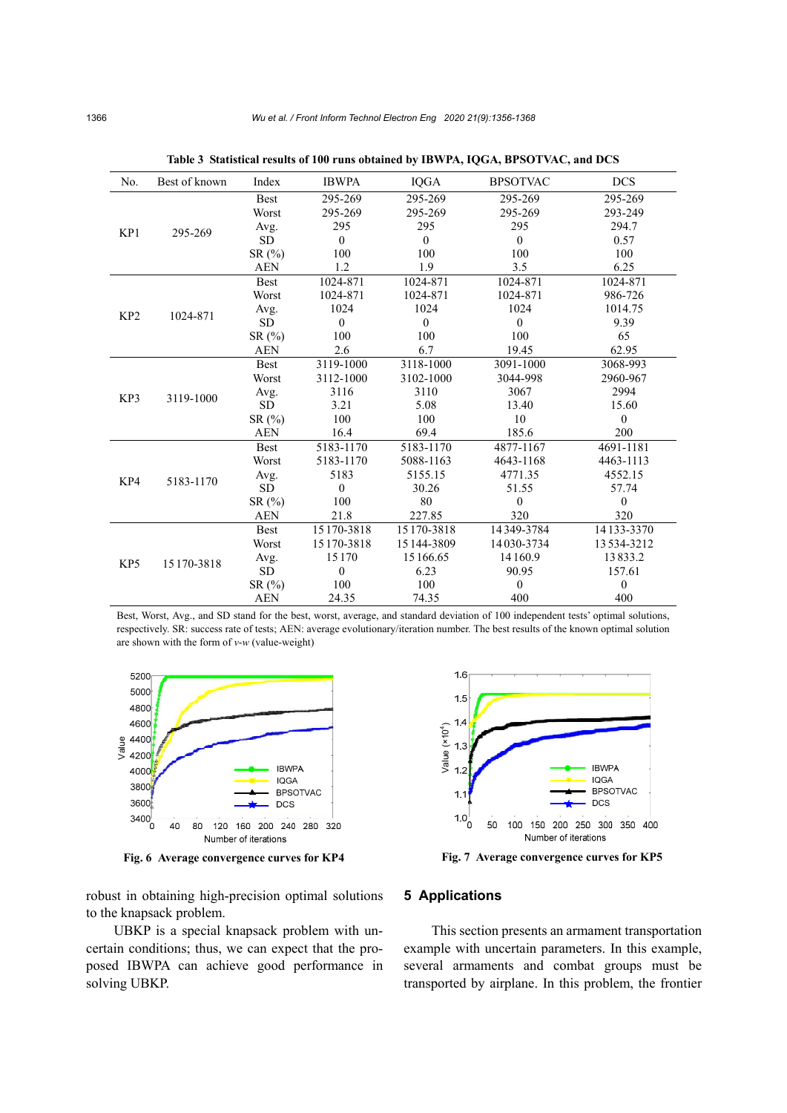| No.             | Best of known | Index       | <b>IBWPA</b> | <b>IQGA</b>    | <b>BPSOTVAC</b> | <b>DCS</b>   |
|-----------------|---------------|-------------|--------------|----------------|-----------------|--------------|
| KP1             |               | <b>Best</b> | 295-269      | 295-269        | 295-269         | 295-269      |
|                 |               | Worst       | 295-269      | 295-269        | 295-269         | 293-249      |
|                 | 295-269       | Avg.        | 295          | 295            | 295             | 294.7        |
|                 |               | <b>SD</b>   | $\mathbf{0}$ | $\overline{0}$ | $\mathbf{0}$    | 0.57         |
|                 |               | SR(%)       | 100          | 100            | 100             | 100          |
|                 |               | <b>AEN</b>  | 1.2          | 1.9            | 3.5             | 6.25         |
| KP <sub>2</sub> | 1024-871      | <b>Best</b> | 1024-871     | 1024-871       | 1024-871        | 1024-871     |
|                 |               | Worst       | 1024-871     | 1024-871       | 1024-871        | 986-726      |
|                 |               | Avg.        | 1024         | 1024           | 1024            | 1014.75      |
|                 |               | <b>SD</b>   | $\mathbf{0}$ | $\mathbf{0}$   | $\mathbf{0}$    | 9.39         |
|                 |               | SR(%)       | 100          | 100            | 100             | 65           |
|                 |               | <b>AEN</b>  | 2.6          | 6.7            | 19.45           | 62.95        |
|                 |               | <b>Best</b> | 3119-1000    | 3118-1000      | 3091-1000       | 3068-993     |
| KP3             |               | Worst       | 3112-1000    | 3102-1000      | 3044-998        | 2960-967     |
|                 | 3119-1000     | Avg.        | 3116         | 3110           | 3067            | 2994         |
|                 |               | <b>SD</b>   | 3.21         | 5.08           | 13.40           | 15.60        |
|                 |               | SR(%)       | 100          | 100            | 10              | $\theta$     |
|                 |               | <b>AEN</b>  | 16.4         | 69.4           | 185.6           | 200          |
| KP4             |               | <b>Best</b> | 5183-1170    | 5183-1170      | 4877-1167       | 4691-1181    |
|                 | 5183-1170     | Worst       | 5183-1170    | 5088-1163      | 4643-1168       | 4463-1113    |
|                 |               | Avg.        | 5183         | 5155.15        | 4771.35         | 4552.15      |
|                 |               | <b>SD</b>   | $\theta$     | 30.26          | 51.55           | 57.74        |
|                 |               | SR(%)       | 100          | 80             | $\theta$        | $\mathbf{0}$ |
|                 |               | <b>AEN</b>  | 21.8         | 227.85         | 320             | 320          |
| KP5             | 15 170-3818   | <b>Best</b> | 15 170-3818  | 15 170-3818    | 14349-3784      | 14 133-3370  |
|                 |               | Worst       | 15170-3818   | 15 144-3809    | 14030-3734      | 13534-3212   |
|                 |               | Avg.        | 15170        | 15 166.65      | 14160.9         | 13833.2      |
|                 |               | <b>SD</b>   | $\mathbf{0}$ | 6.23           | 90.95           | 157.61       |
|                 |               | SR(%)       | 100          | 100            | $\theta$        | $\mathbf{0}$ |
|                 |               | <b>AEN</b>  | 24.35        | 74.35          | 400             | 400          |

**Table 3 Statistical results of 100 runs obtained by IBWPA, IQGA, BPSOTVAC, and DCS** 

Best, Worst, Avg., and SD stand for the best, worst, average, and standard deviation of 100 independent tests' optimal solutions, respectively. SR: success rate of tests; AEN: average evolutionary/iteration number. The best results of the known optimal solution are shown with the form of *v*-*w* (value-weight)





robust in obtaining high-precision optimal solutions to the knapsack problem.

UBKP is a special knapsack problem with uncertain conditions; thus, we can expect that the proposed IBWPA can achieve good performance in solving UBKP.

# **5 Applications**

This section presents an armament transportation example with uncertain parameters. In this example, several armaments and combat groups must be transported by airplane. In this problem, the frontier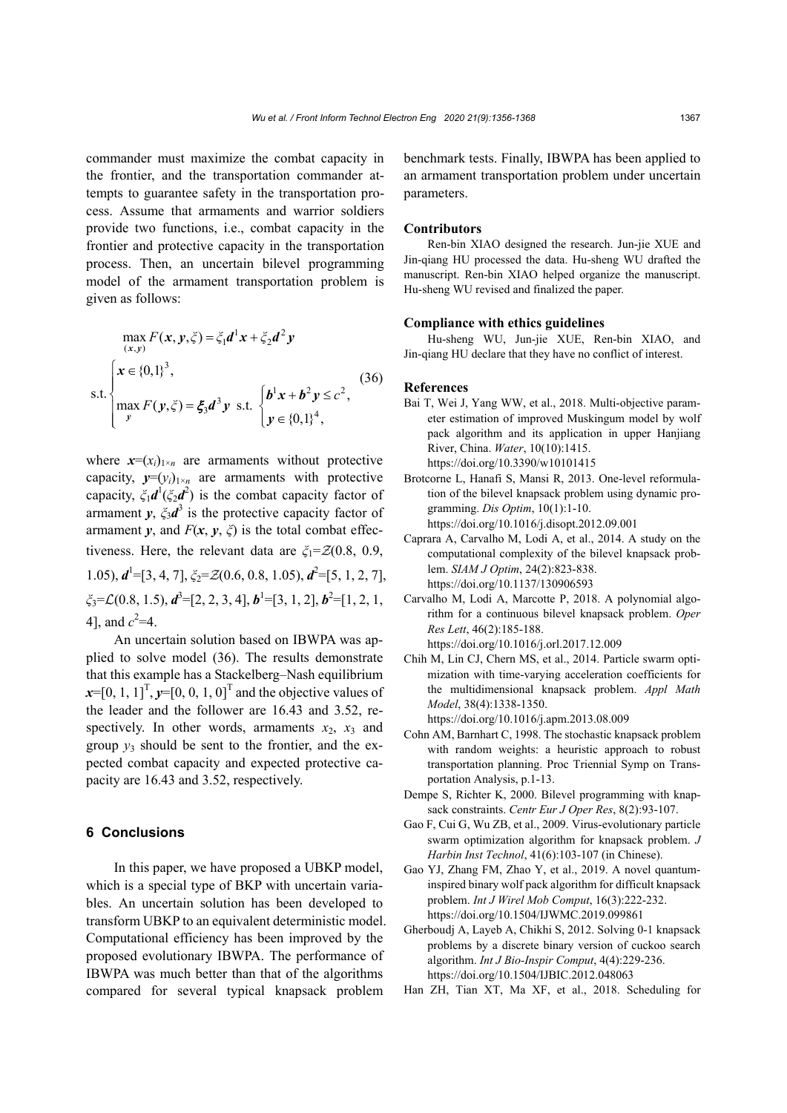commander must maximize the combat capacity in the frontier, and the transportation commander attempts to guarantee safety in the transportation process. Assume that armaments and warrior soldiers provide two functions, i.e., combat capacity in the frontier and protective capacity in the transportation process. Then, an uncertain bilevel programming model of the armament transportation problem is given as follows:

$$
\max_{(x,y)} F(x, y, \xi) = \xi_1 d^1 x + \xi_2 d^2 y
$$
  
s.t. 
$$
\begin{cases} x \in \{0,1\}^3, \\ \max_{y} F(y, \xi) = \xi_3 d^3 y \text{ s.t. } \begin{cases} b^1 x + b^2 y \le c^2, \\ y \in \{0,1\}^4, \end{cases} \end{cases}
$$
(36)

where  $x=(x_i)_{1\times n}$  are armaments without protective capacity,  $y=(y_i)_{1\times n}$  are armaments with protective capacity,  $\zeta_1 d^1(\zeta_2 d^2)$  is the combat capacity factor of armament  $y$ ,  $\xi_3 d^3$  is the protective capacity factor of armament *y*, and  $F(x, y, \zeta)$  is the total combat effectiveness. Here, the relevant data are  $\zeta_1 = \mathcal{Z}(0.8, 0.9, 0.9)$ 1.05),  $d^1$ =[3, 4, 7], *ξ*<sub>2</sub>= *Z*(0.6, 0.8, 1.05),  $d^2$ =[5, 1, 2, 7], *ξ*<sub>3</sub>= *£*(0.8, 1.5), *d*<sup>3</sup>=[2, 2, 3, 4], *b*<sup>1</sup>=[3, 1, 2], *b*<sup>2</sup>=[1, 2, 1, 4], and  $c^2=4$ .

An uncertain solution based on IBWPA was applied to solve model (36). The results demonstrate that this example has a Stackelberg–Nash equilibrium  $x=[0, 1, 1]^T$ ,  $y=[0, 0, 1, 0]^T$  and the objective values of the leader and the follower are 16.43 and 3.52, respectively. In other words, armaments  $x_2$ ,  $x_3$  and group  $y_3$  should be sent to the frontier, and the expected combat capacity and expected protective capacity are 16.43 and 3.52, respectively.

# **6 Conclusions**

In this paper, we have proposed a UBKP model, which is a special type of BKP with uncertain variables. An uncertain solution has been developed to transform UBKP to an equivalent deterministic model. Computational efficiency has been improved by the proposed evolutionary IBWPA. The performance of IBWPA was much better than that of the algorithms compared for several typical knapsack problem

benchmark tests. Finally, IBWPA has been applied to an armament transportation problem under uncertain parameters.

#### **Contributors**

Ren-bin XIAO designed the research. Jun-jie XUE and Jin-qiang HU processed the data. Hu-sheng WU drafted the manuscript. Ren-bin XIAO helped organize the manuscript. Hu-sheng WU revised and finalized the paper.

### **Compliance with ethics guidelines**

Hu-sheng WU, Jun-jie XUE, Ren-bin XIAO, and Jin-qiang HU declare that they have no conflict of interest.

#### **References**

- Bai T, Wei J, Yang WW, et al., 2018. Multi-objective parameter estimation of improved Muskingum model by wolf pack algorithm and its application in upper Hanjiang River, China. *Water*, 10(10):1415. https://doi.org/10.3390/w10101415
- Brotcorne L, Hanafi S, Mansi R, 2013. One-level reformulation of the bilevel knapsack problem using dynamic programming. *Dis Optim*, 10(1):1-10. https://doi.org/10.1016/j.disopt.2012.09.001
- Caprara A, Carvalho M, Lodi A, et al., 2014. A study on the computational complexity of the bilevel knapsack problem. *SIAM J Optim*, 24(2):823-838. https://doi.org/10.1137/130906593
- Carvalho M, Lodi A, Marcotte P, 2018. A polynomial algorithm for a continuous bilevel knapsack problem. *Oper Res Lett*, 46(2):185-188. https://doi.org/10.1016/j.orl.2017.12.009
- Chih M, Lin CJ, Chern MS, et al., 2014. Particle swarm optimization with time-varying acceleration coefficients for the multidimensional knapsack problem. *Appl Math Model*, 38(4):1338-1350.
	- https://doi.org/10.1016/j.apm.2013.08.009
- Cohn AM, Barnhart C, 1998. The stochastic knapsack problem with random weights: a heuristic approach to robust transportation planning. Proc Triennial Symp on Transportation Analysis, p.1-13.
- Dempe S, Richter K, 2000. Bilevel programming with knapsack constraints. *Centr Eur J Oper Res*, 8(2):93-107.
- Gao F, Cui G, Wu ZB, et al., 2009. Virus-evolutionary particle swarm optimization algorithm for knapsack problem. *J Harbin Inst Technol*, 41(6):103-107 (in Chinese).
- Gao YJ, Zhang FM, Zhao Y, et al., 2019. A novel quantuminspired binary wolf pack algorithm for difficult knapsack problem. *Int J Wirel Mob Comput*, 16(3):222-232. https://doi.org/10.1504/IJWMC.2019.099861
- Gherboudj A, Layeb A, Chikhi S, 2012. Solving 0-1 knapsack problems by a discrete binary version of cuckoo search algorithm. *Int J Bio-Inspir Comput*, 4(4):229-236. https://doi.org/10.1504/IJBIC.2012.048063
- Han ZH, Tian XT, Ma XF, et al., 2018. Scheduling for